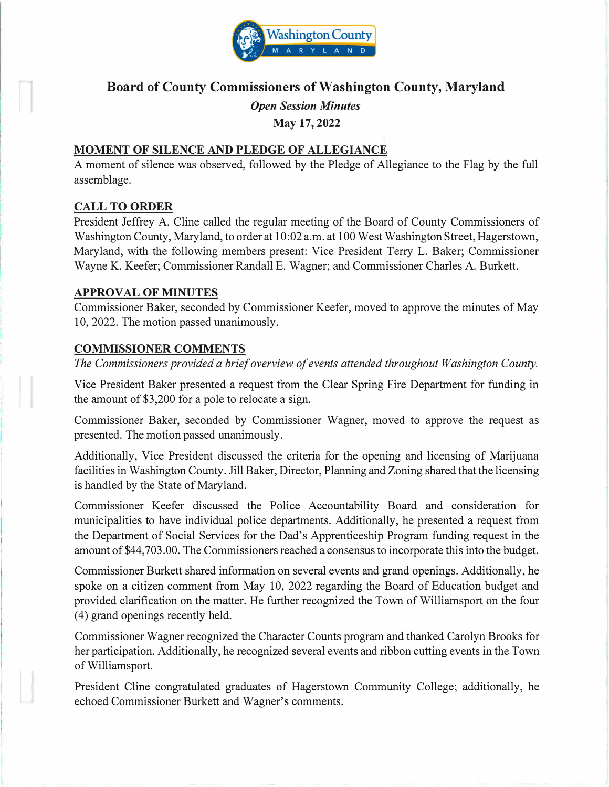

# **Board of County Commissioners of Washington County, Maryland**

*Open Session Minutes* 

**May 17, 2022** 

#### **MOMENT OF SILENCE AND PLEDGE OF ALLEGIANCE**

A moment of silence was observed, followed by the Pledge of Allegiance to the Flag by the full assemblage.

#### **CALL TO ORDER**

President Jeffrey A. Cline called the regular meeting of the Board of County Commissioners of Washington County, Maryland, to order at 10:02 a.m. at 100 West Washington Street, Hagerstown, Maryland, with the following members present: Vice President Terry L. Baker; Commissioner Wayne K. Keefer; Commissioner Randall E. Wagner; and Commissioner Charles A. Burkett.

#### **APPROVAL OF MINUTES**

Commissioner Baker, seconded by Commissioner Keefer, moved to approve the minutes of May 10, 2022. The motion passed unanimously.

#### **COMMISSIONER COMMENTS**

*The Commissioners provided a brief overview of events attended throughout Washington County.* 

Vice President Baker presented a request from the Clear Spring Fire Department for funding in the amount of \$3,200 for a pole to relocate a sign.

Commissioner Baker, seconded by Commissioner Wagner, moved to approve the request as presented. The motion passed unanimously.

Additionally, Vice President discussed the criteria for the opening and licensing of Marijuana facilities in Washington County. Jill Baker, Director, Planning and Zoning shared that the licensing is handled by the State of Maryland.

Commissioner Keefer discussed the Police Accountability Board and consideration for municipalities to have individual police departments. Additionally, he presented a request from the Department of Social Services for the Dad's Apprenticeship Program funding request in the amount of\$44,703.00. The Commissioners reached a consensus to incorporate this into the budget.

Commissioner Burkett shared information on several events and grand openings. Additionally, he spoke on a citizen comment from May 10, 2022 regarding the Board of Education budget and provided clarification on the matter. He further recognized the Town of Williamsport on the four ( 4) grand openings recently held.

Commissioner Wagner recognized the Character Counts program and thanked Carolyn Brooks for her participation. Additionally, he recognized several events and ribbon cutting events in the Town of Williamsport.

President Cline congratulated graduates of Hagerstown Community College; additionally, he echoed Commissioner Burkett and Wagner's comments.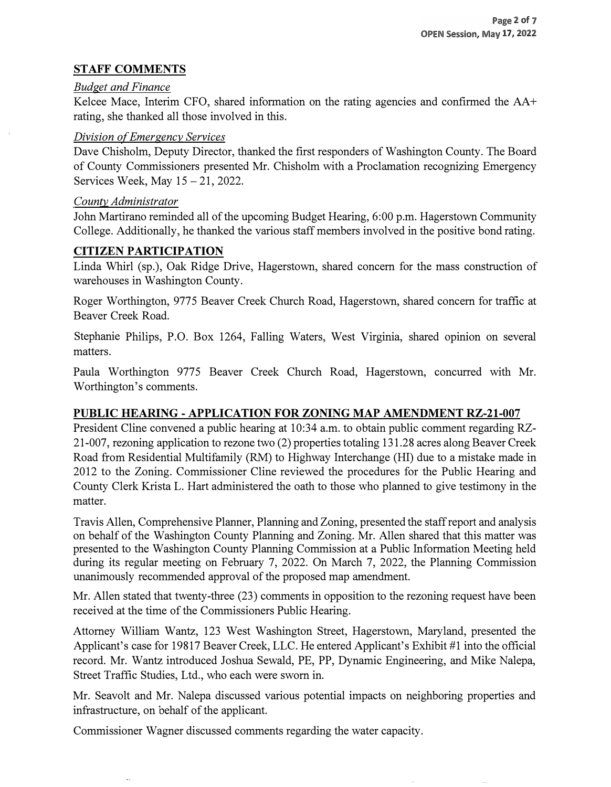# **STAFF COMMENTS**

#### *Budget and Finance*

Kelcee Mace, Interim CFO, shared information on the rating agencies and confirmed the AA+ rating, she thanked all those involved in this.

# *Division of Emergency Services*

Dave Chisholm, Deputy Director, thanked the first responders of Washington County. The Board of County Commissioners presented Mr. Chisholm with a Proclamation recognizing Emergency Services Week, May  $15 - 21$ , 2022.

#### *County Administrator*

John Martirano reminded all of the upcoming Budget Hearing, 6:00 p.m. Hagerstown Community College. Additionally, he thanked the various staff members involved in the positive bond rating.

# **CITIZEN PARTICIPATION**

Linda Whirl (sp.), Oak Ridge Drive, Hagerstown, shared concern for the mass construction of warehouses in Washington County.

Roger Worthington, 9775 Beaver Creek Church Road, Hagerstown, shared concern for traffic at Beaver Creek Road.

Stephanie Philips, P.O. Box 1264, Falling Waters, West Virginia, shared opinion on several matters.

Paula Worthington 9775 Beaver Creek Church Road, Hagerstown, concurred with Mr. Worthington's comments.

# **PUBLIC HEARING - APPLICATION FOR ZONING MAP AMENDMENT RZ-21-007**

President Cline convened a public hearing at 10:34 a.m. to obtain public comment regarding RZ-21-007, rezoning application to rezone two (2) properties totaling 131.28 acres along Beaver Creek Road from Residential Multifamily (RM) to Highway Interchange (HI) due to a mistake made in 2012 to the Zoning. Commissioner Cline reviewed the procedures for the Public Hearing and County Clerk Krista L. Hart administered the oath to those who planned to give testimony in the matter.

Travis Allen, Comprehensive Planner, Planning and Zoning, presented the staff report and analysis on behalf of the Washington County Planning and Zoning. Mr. Allen shared that this matter was presented to the Washington County Planning Commission at a Public Information Meeting held during its regular meeting on February 7, 2022. On March 7, 2022, the Planning Commission unanimously recommended approval of the proposed map amendment.

Mr. Allen stated that twenty-three (23) comments in opposition to the rezoning request have been received at the time of the Commissioners Public Hearing.

Attorney William Wantz, 123 West Washington Street, Hagerstown, Maryland, presented the Applicant's case for 19817 Beaver Creek, LLC. He entered Applicant's Exhibit #1 into the official record. Mr. Wantz introduced Joshua Sewald, PE, PP, Dynamic Engineering, and Mike Nalepa, Street Traffic Studies, Ltd., who each were sworn in.

Mr. Seavolt and Mr. Nalepa discussed various potential impacts on neighboring properties and infrastructure, on behalf of the applicant.

Commissioner Wagner discussed comments regarding the water capacity.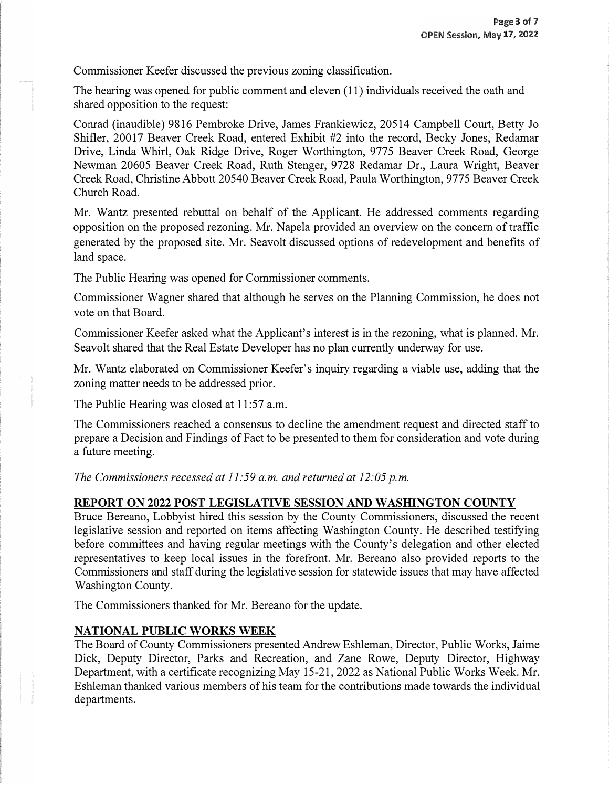Commissioner Keefer discussed the previous zoning classification.

The hearing was opened for public comment and eleven (11) individuals received the oath and shared opposition to the request:

Conrad (inaudible) 9816 Pembroke Drive, James Frankiewicz, 20514 Campbell Court, Betty Jo Shifter, 20017 Beaver Creek Road, entered Exhibit #2 into the record, Becky Jones, Redamar Drive, Linda Whirl, Oak Ridge Drive, Roger Worthington, 9775 Beaver Creek Road, George Newman 20605 Beaver Creek Road, Ruth Stenger, 9728 Redamar Dr., Laura Wright, Beaver Creek Road, Christine Abbott 20540 Beaver Creek Road, Paula Worthington, 9775 Beaver Creek Church Road.

Mr. Wantz presented rebuttal on behalf of the Applicant. He addressed comments regarding opposition on the proposed rezoning. Mr. Napela provided an overview on the concern of traffic generated by the proposed site. Mr. Seavolt discussed options of redevelopment and benefits of land space.

The Public Hearing was opened for Commissioner comments.

Commissioner Wagner shared that although he serves on the Planning Commission, he does not vote on that Board.

Commissioner Keefer asked what the Applicant's interest is in the rezoning, what is planned. Mr. Seavolt shared that the Real Estate Developer has no plan currently underway for use.

Mr. Wantz elaborated on Commissioner Keefer's inquiry regarding a viable use, adding that the zoning matter needs to be addressed prior.

The Public Hearing was closed at 11:57 a.m.

The Commissioners reached a consensus to decline the amendment request and directed staff to prepare a Decision and Findings of Fact to be presented to them for consideration and vote during a future meeting.

*The Commissioners recessed at 11 :59 a.m. and returned at 12:05 p.m.* 

# **REPORT ON 2022 POST LEGISLATIVE SESSION AND WASHINGTON COUNTY**

Bruce Bereano, Lobbyist hired this session by the County Commissioners, discussed the recent legislative session and reported on items affecting Washington County. He described testifying before committees and having regular meetings with the County's delegation and other elected representatives to keep local issues in the forefront. Mr. Bereano also provided reports to the Commissioners and staff during the legislative session for statewide issues that may have affected Washington County.

The Commissioners thanked for Mr. Bereano for the update.

# **NATIONAL PUBLIC WORKS WEEK**

The Board of County Commissioners presented Andrew Eshleman, Director, Public Works, Jaime Dick, Deputy Director, Parks and Recreation, and Zane Rowe, Deputy Director, Highway Department, with a certificate recognizing May 15-21, 2022 as National Public Works Week. Mr. Eshleman thanked various members of his team for the contributions made towards the individual departments.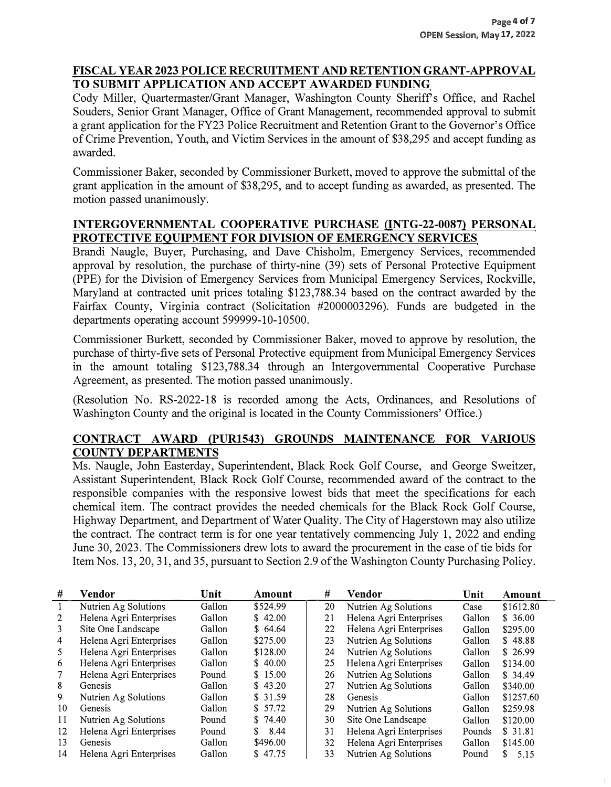### **FISCAL YEAR 2023 POLICE RECRUITMENT AND RETENTION GRANT-APPROVAL TO SUBMIT APPLICATION AND ACCEPT A WARDED FUNDING**

Cody Miller, Quartermaster/Grant Manager, Washington County Sheriff's Office, and Rachel Souders, Senior Grant Manager, Office of Grant Management, recommended approval to submit a grant application for the FY23 Police Recruitment and Retention Grant to the Governor's Office of Crime Prevention, Youth, and Victim Services in the amount of \$38,295 and accept funding as awarded.

Commissioner Baker, seconded by Commissioner Burkett, moved to approve the submittal of the grant application in the amount of \$38,295, and to accept funding as awarded, as presented. The motion passed unanimously.

# **INTERGOVERNMENTAL COOPERATIVE PURCHASE {INTG-22-0087} PERSONAL PROTECTIVE EQUIPMENT FOR DIVISION OF EMERGENCY SERVICES**

Brandi Naugle, Buyer, Purchasing, and Dave Chisholm, Emergency Services, recommended approval by resolution, the purchase of thirty-nine (39) sets of Personal Protective Equipment (PPE) for the Division of Emergency Services from Municipal Emergency Services, Rockville, Maryland at contracted unit prices totaling \$123,788.34 based on the contract awarded by the Fairfax County, Virginia contract (Solicitation #2000003296). Funds are budgeted in the departments operating account 599999-10-10500.

Commissioner Burkett, seconded by Commissioner Baker, moved to approve by resolution, the purchase of thirty-five sets of Personal Protective equipment from Municipal Emergency Services in the amount totaling \$123,788.34 through an Intergovernmental Cooperative Purchase Agreement, as presented. The motion passed unanimously.

(Resolution No. RS-2022-18 is recorded among the Acts, Ordinances, and Resolutions of Washington County and the original is located in the County Commissioners' Office.)

#### **CONTRACT AWARD (PUR1543} GROUNDS MAINTENANCE FOR VARIOUS COUNTY DEPARTMENTS**

Ms. Naugle, John Easterday, Superintendent, Black Rock Golf Course, and George Sweitzer, Assistant Superintendent, Black Rock Golf Course, recommended award of the contract to the responsible companies with the responsive lowest bids that meet the specifications for each chemical item. The contract provides the needed chemicals for the Black Rock Golf Course, Highway Department, and Department of Water Quality. The City of Hagerstown may also utilize the contract. The contract term is for one year tentatively commencing July 1, 2022 and ending June 30, 2023. The Commissioners drew lots to award the procurement in the case of tie bids for Item Nos. 13, 20, 31, and 35, pursuant to Section 2.9 of the Washington County Purchasing Policy.

| #              | Vendor                  | Unit   | Amount   | #  | Vendor                  | Unit   | Amount     |
|----------------|-------------------------|--------|----------|----|-------------------------|--------|------------|
|                | Nutrien Ag Solutions    | Gallon | \$524.99 | 20 | Nutrien Ag Solutions    | Case   | \$1612.80  |
| 2              | Helena Agri Enterprises | Gallon | \$42.00  | 21 | Helena Agri Enterprises | Gallon | \$36.00    |
| 3              | Site One Landscape      | Gallon | \$64.64  | 22 | Helena Agri Enterprises | Gallon | \$295.00   |
| $\overline{4}$ | Helena Agri Enterprises | Gallon | \$275.00 | 23 | Nutrien Ag Solutions    | Gallon | \$48.88    |
| 5              | Helena Agri Enterprises | Gallon | \$128.00 | 24 | Nutrien Ag Solutions    | Gallon | \$26.99    |
| 6              | Helena Agri Enterprises | Gallon | \$40.00  | 25 | Helena Agri Enterprises | Gallon | \$134.00   |
|                | Helena Agri Enterprises | Pound  | \$15.00  | 26 | Nutrien Ag Solutions    | Gallon | \$34.49    |
| 8              | Genesis                 | Gallon | \$43.20  | 27 | Nutrien Ag Solutions    | Gallon | \$340.00   |
| 9              | Nutrien Ag Solutions    | Gallon | \$31.59  | 28 | Genesis                 | Gallon | \$1257.60  |
| 10             | Genesis                 | Gallon | \$57.72  | 29 | Nutrien Ag Solutions    | Gallon | \$259.98   |
| 11             | Nutrien Ag Solutions    | Pound  | \$74.40  | 30 | Site One Landscape      | Gallon | \$120.00   |
| 12             | Helena Agri Enterprises | Pound  | 8.44     | 31 | Helena Agri Enterprises | Pounds | \$31.81    |
| 13             | Genesis                 | Gallon | \$496.00 | 32 | Helena Agri Enterprises | Gallon | \$145.00   |
| 14             | Helena Agri Enterprises | Gallon | \$47.75  | 33 | Nutrien Ag Solutions    | Pound  | 5.15<br>S. |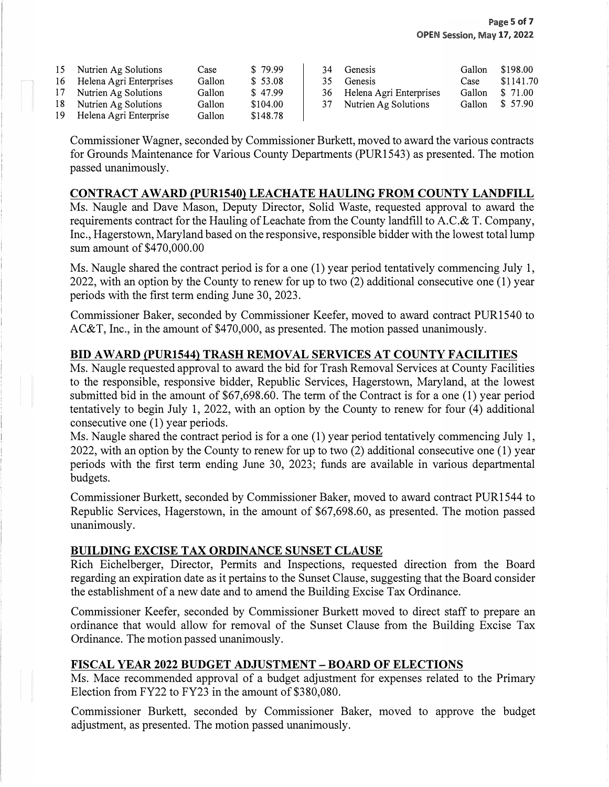| 15 | Nutrien Ag Solutions    | Case   | \$79.99  | 34  | Genesis                    | Gallon | \$198.00  |
|----|-------------------------|--------|----------|-----|----------------------------|--------|-----------|
| 16 | Helena Agri Enterprises | Gallon | \$53.08  | 35. | Genesis                    | Case   | \$1141.70 |
| 17 | Nutrien Ag Solutions    | Gallon | \$47.99  |     | 36 Helena Agri Enterprises | Gallon | \$71.00   |
| 18 | Nutrien Ag Solutions    | Gallon | \$104.00 |     | 37 Nutrien Ag Solutions    | Gallon | \$57.90   |
| 19 | Helena Agri Enterprise  | Gallon | \$148.78 |     |                            |        |           |

Commissioner Wagner, seconded by Commissioner Burkett, moved to award the various contracts for Grounds Maintenance for Various County Departments (PUR1543) as presented. The motion passed unanimously.

#### **CONTRACT AW ARD (PUR1540) LEACHATE HAULING FROM COUNTY LANDFILL**

Ms. Naugle and Dave Mason, Deputy Director, Solid Waste, requested approval to award the requirements contract for the Hauling of Leachate from the County landfill to A.C.& T. Company, Inc., Hagerstown, Maryland based on the responsive, responsible bidder with the lowest total lump sum amount of \$470,000.00

Ms. Naugle shared the contract period is for a one (1) year period tentatively commencing July 1, 2022, with an option by the County to renew for up to two (2) additional consecutive one (1) year periods with the first term ending June 30, 2023.

Commissioner Baker, seconded by Commissioner Keefer, moved to award contract PURl 540 to AC&T, Inc., in the amount of \$470,000, as presented. The motion passed unanimously.

#### **BID AW ARD (PUR1544) TRASH REMOVAL SERVICES AT COUNTY FACILITIES**

Ms. Naugle requested approval to award the bid for Trash Removal Services at County Facilities to the responsible, responsive bidder, Republic Services, Hagerstown, Maryland, at the lowest submitted bid in the amount of \$67,698.60. The term of the Contract is for a one (1) year period tentatively to begin July 1, 2022, with an option by the County to renew for four (4) additional consecutive one (1) year periods.

Ms. Naugle shared the contract period is for a one (1) year period tentatively commencing July 1, 2022, with an option by the County to renew for up to two (2) additional consecutive one (1) year periods with the first term ending June 30, 2023; funds are available in various departmental budgets.

Commissioner Burkett, seconded by Commissioner Baker, moved to award contract PURl 544 to Republic Services, Hagerstown, in the amount of \$67,698.60, as presented. The motion passed unanimously.

#### **BUILDING EXCISE TAX ORDINANCE SUNSET CLAUSE**

Rich Eichelberger, Director, Permits and Inspections, requested direction from the Board regarding an expiration date as it pertains to the Sunset Clause, suggesting that the Board consider the establishment of a new date and to amend the Building Excise Tax Ordinance.

Commissioner Keefer, seconded by Commissioner Burkett moved to direct staff to prepare an ordinance that would allow for removal of the Sunset Clause from the Building Excise Tax Ordinance. The motion passed unanimously.

#### **FISCAL YEAR 2022 BUDGET ADJUSTMENT - BOARD OF ELECTIONS**

Ms. Mace recommended approval of a budget adjustment for expenses related to the Primary Election from FY22 to FY23 in the amount of \$380,080.

Commissioner Burkett, seconded by Commissioner Baker, moved to approve the budget adjustment, as presented. The motion passed unanimously.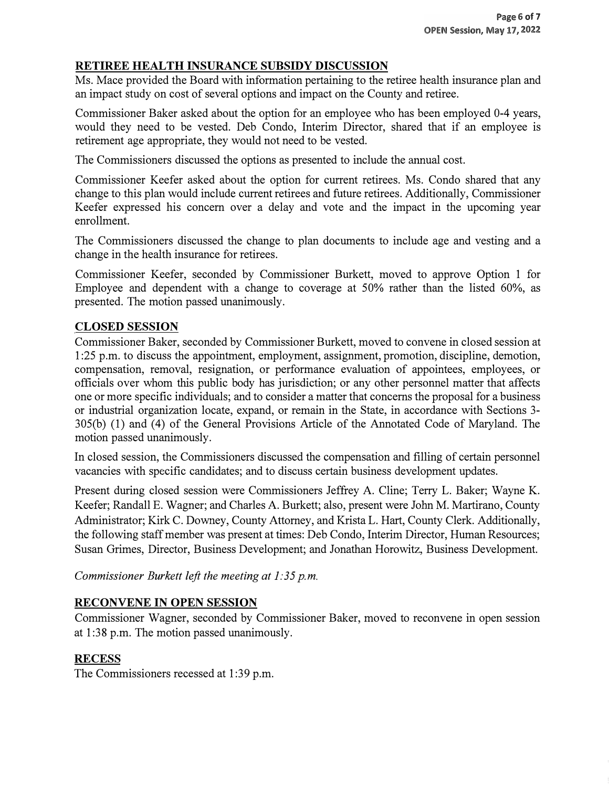# **RETIREE HEALTH INSURANCE SUBSIDY DISCUSSION**

Ms. Mace provided the Board with information pertaining to the retiree health insurance plan and an impact study on cost of several options and impact on the County and retiree.

Commissioner Baker asked about the option for an employee who has been employed 0-4 years, would they need to be vested. Deb Condo, Interim Director, shared that if an employee is retirement age appropriate, they would not need to be vested.

The Commissioners discussed the options as presented to include the annual cost.

Commissioner Keefer asked about the option for current retirees. Ms. Condo shared that any change to this plan would include current retirees and future retirees. Additionally, Commissioner Keefer expressed his concern over a delay and vote and the impact in the upcoming year enrollment.

The Commissioners discussed the change to plan documents to include age and vesting and a change in the health insurance for retirees.

Commissioner Keefer, seconded by Commissioner Burkett, moved to approve Option 1 for Employee and dependent with a change to coverage at 50% rather than the listed 60%, as presented. The motion passed unanimously.

# **CLOSED SESSION**

Commissioner Baker, seconded by Commissioner Burkett, moved to convene in closed session at 1 :25 p.m. to discuss the appointment, employment, assignment, promotion, discipline, demotion, compensation, removal, resignation, or performance evaluation of appointees, employees, or officials over whom this public body has jurisdiction; or any other personnel matter that affects one or more specific individuals; and to consider a matter that concerns the proposal for a business or industrial organization locate, expand, or remain in the State, in accordance with Sections 3- 305(b) (1) and (4) of the General Provisions Article of the Annotated Code of Maryland. The motion passed unanimously.

In closed session, the Commissioners discussed the compensation and filling of certain personnel vacancies with specific candidates; and to discuss certain business development updates.

Present during closed session were Commissioners Jeffrey A. Cline; Terry L. Baker; Wayne K. Keefer; Randall E. Wagner; and Charles A. Burkett; also, present were John M. Martirano, County Administrator; Kirk C. Downey, County Attorney, and Krista L. Hart, County Clerk. Additionally, the following staff member was present at times: Deb Condo, Interim Director, Human Resources; Susan Grimes, Director, Business Development; and Jonathan Horowitz, Business Development.

*Commissioner Burkett left the meeting at 1:35 p.m.* 

#### **RECONVENE IN OPEN SESSION**

Commissioner Wagner, seconded by Commissioner Baker, moved to reconvene in open session at 1 :38 p.m. The motion passed unanimously.

# **RECESS**

The Commissioners recessed at 1:39 p.m.